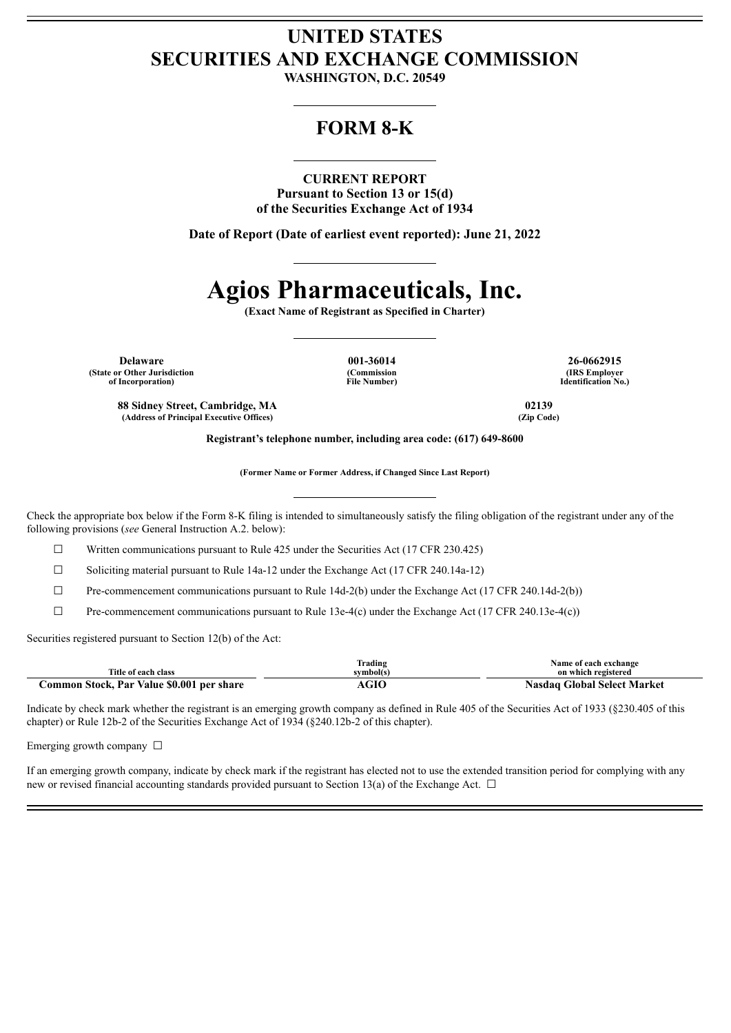## **UNITED STATES SECURITIES AND EXCHANGE COMMISSION**

**WASHINGTON, D.C. 20549**

### **FORM 8-K**

#### **CURRENT REPORT**

**Pursuant to Section 13 or 15(d) of the Securities Exchange Act of 1934**

**Date of Report (Date of earliest event reported): June 21, 2022**

# **Agios Pharmaceuticals, Inc.**

**(Exact Name of Registrant as Specified in Charter)**

**Delaware 001-36014 26-0662915 (State or Other Jurisdiction of Incorporation)**

**(Commission File Number)**

**(IRS Employer Identification No.)**

**88 Sidney Street, Cambridge, MA 02139 (Address of Principal Executive Offices) (Zip Code)**

**Registrant's telephone number, including area code: (617) 649-8600**

**(Former Name or Former Address, if Changed Since Last Report)**

Check the appropriate box below if the Form 8-K filing is intended to simultaneously satisfy the filing obligation of the registrant under any of the following provisions (*see* General Instruction A.2. below):

 $\Box$  Written communications pursuant to Rule 425 under the Securities Act (17 CFR 230.425)

☐ Soliciting material pursuant to Rule 14a-12 under the Exchange Act (17 CFR 240.14a-12)

 $\Box$  Pre-commencement communications pursuant to Rule 14d-2(b) under the Exchange Act (17 CFR 240.14d-2(b))

 $\Box$  Pre-commencement communications pursuant to Rule 13e-4(c) under the Exchange Act (17 CFR 240.13e-4(c))

Securities registered pursuant to Section 12(b) of the Act:

|                                           | <b>Frading</b> | Name of each exchange       |
|-------------------------------------------|----------------|-----------------------------|
| Title of each class                       | svmbol(s       | on which registered         |
| Common Stock, Par Value \$0.001 per share | AGIO           | Nasdag Global Select Market |

Indicate by check mark whether the registrant is an emerging growth company as defined in Rule 405 of the Securities Act of 1933 (§230.405 of this chapter) or Rule 12b-2 of the Securities Exchange Act of 1934 (§240.12b-2 of this chapter).

Emerging growth company  $\Box$ 

If an emerging growth company, indicate by check mark if the registrant has elected not to use the extended transition period for complying with any new or revised financial accounting standards provided pursuant to Section 13(a) of the Exchange Act.  $\Box$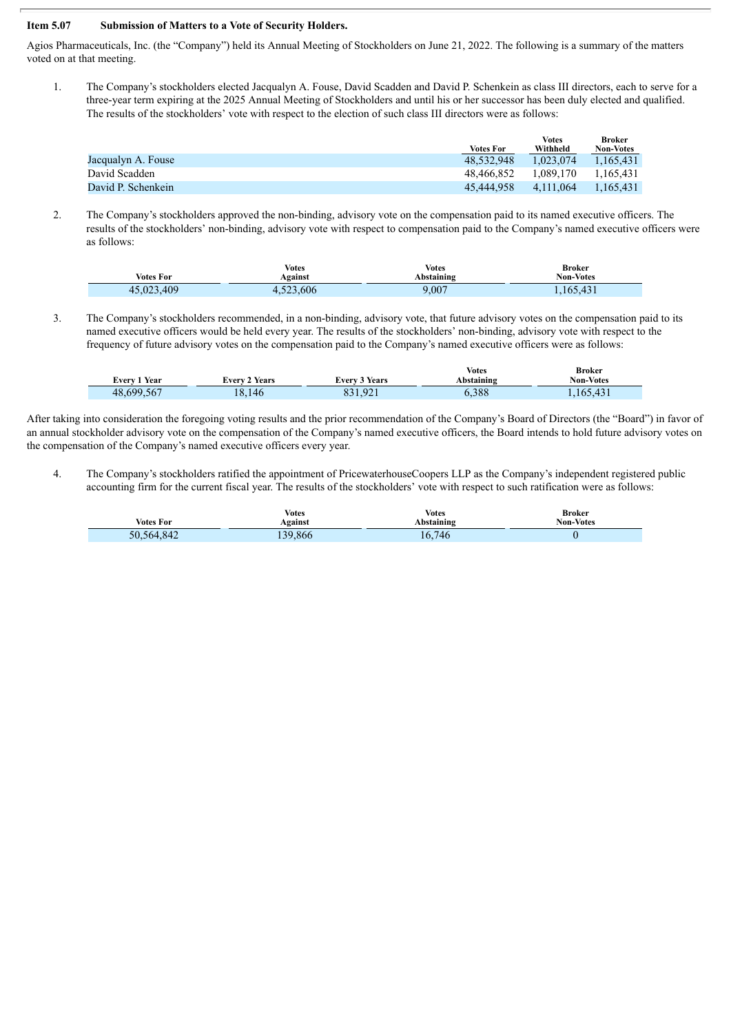#### **Item 5.07 Submission of Matters to a Vote of Security Holders.**

Agios Pharmaceuticals, Inc. (the "Company") held its Annual Meeting of Stockholders on June 21, 2022. The following is a summary of the matters voted on at that meeting.

1. The Company's stockholders elected Jacqualyn A. Fouse, David Scadden and David P. Schenkein as class III directors, each to serve for a three-year term expiring at the 2025 Annual Meeting of Stockholders and until his or her successor has been duly elected and qualified. The results of the stockholders' vote with respect to the election of such class III directors were as follows:

|                    |                  | <b>Votes</b> | <b>Broker</b>    |
|--------------------|------------------|--------------|------------------|
|                    | <b>Votes For</b> | Withheld     | <b>Non-Votes</b> |
| Jacqualyn A. Fouse | 48.532.948       | 1.023.074    | 1.165.431        |
| David Scadden      | 48.466.852       | 1.089.170    | 1.165.431        |
| David P. Schenkein | 45.444.958       | 4.111.064    | 1.165.431        |

2. The Company's stockholders approved the non-binding, advisory vote on the compensation paid to its named executive officers. The results of the stockholders' non-binding, advisory vote with respect to compensation paid to the Company's named executive officers were as follows:

| <b>Votes For</b> | Votes<br>Against | Votes<br>Abstaining | <b>Broker</b><br><b>Non-Votes</b> |
|------------------|------------------|---------------------|-----------------------------------|
| 45,023,409       | .523,606         | ,007                | 1,165,431                         |

3. The Company's stockholders recommended, in a non-binding, advisory vote, that future advisory votes on the compensation paid to its named executive officers would be held every year. The results of the stockholders' non-binding, advisory vote with respect to the frequency of future advisory votes on the compensation paid to the Company's named executive officers were as follows:

|                 |                      |                      | <b>Votes</b> | Broker           |
|-----------------|----------------------|----------------------|--------------|------------------|
| l Year<br>Lvery | <b>Every 2 Years</b> | <b>Every 3 Years</b> | Abstaining   | <b>Non-Votes</b> |
| 48,699,567      | 18,146               | 831,921              | 6,388        | 1,165,431        |

After taking into consideration the foregoing voting results and the prior recommendation of the Company's Board of Directors (the "Board") in favor of an annual stockholder advisory vote on the compensation of the Company's named executive officers, the Board intends to hold future advisory votes on the compensation of the Company's named executive officers every year.

4. The Company's stockholders ratified the appointment of PricewaterhouseCoopers LLP as the Company's independent registered public accounting firm for the current fiscal year. The results of the stockholders' vote with respect to such ratification were as follows:

| <b>Votes For</b> | <b>Votes</b><br>Against | <b>Votes</b><br>Abstaining | Broker<br><b>Non-Votes</b> |
|------------------|-------------------------|----------------------------|----------------------------|
|                  |                         |                            |                            |
| 50,564,842       | 139,866                 | 746<br>16.7                |                            |